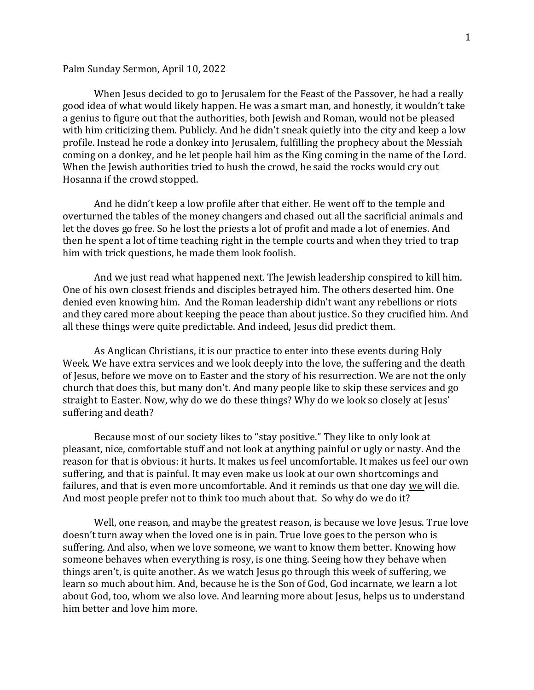## Palm Sunday Sermon, April 10, 2022

When Jesus decided to go to Jerusalem for the Feast of the Passover, he had a really good idea of what would likely happen. He was a smart man, and honestly, it wouldn't take a genius to figure out that the authorities, both Jewish and Roman, would not be pleased with him criticizing them. Publicly. And he didn't sneak quietly into the city and keep a low profile. Instead he rode a donkey into Jerusalem, fulfilling the prophecy about the Messiah coming on a donkey, and he let people hail him as the King coming in the name of the Lord. When the Jewish authorities tried to hush the crowd, he said the rocks would cry out Hosanna if the crowd stopped.

And he didn't keep a low profile after that either. He went off to the temple and overturned the tables of the money changers and chased out all the sacrificial animals and let the doves go free. So he lost the priests a lot of profit and made a lot of enemies. And then he spent a lot of time teaching right in the temple courts and when they tried to trap him with trick questions, he made them look foolish.

And we just read what happened next. The Jewish leadership conspired to kill him. One of his own closest friends and disciples betrayed him. The others deserted him. One denied even knowing him. And the Roman leadership didn't want any rebellions or riots and they cared more about keeping the peace than about justice. So they crucified him. And all these things were quite predictable. And indeed, Jesus did predict them.

As Anglican Christians, it is our practice to enter into these events during Holy Week. We have extra services and we look deeply into the love, the suffering and the death of Jesus, before we move on to Easter and the story of his resurrection. We are not the only church that does this, but many don't. And many people like to skip these services and go straight to Easter. Now, why do we do these things? Why do we look so closely at Jesus' suffering and death?

Because most of our society likes to "stay positive." They like to only look at pleasant, nice, comfortable stuff and not look at anything painful or ugly or nasty. And the reason for that is obvious: it hurts. It makes us feel uncomfortable. It makes us feel our own suffering, and that is painful. It may even make us look at our own shortcomings and failures, and that is even more uncomfortable. And it reminds us that one day we will die. And most people prefer not to think too much about that. So why do we do it?

Well, one reason, and maybe the greatest reason, is because we love Jesus. True love doesn't turn away when the loved one is in pain. True love goes to the person who is suffering. And also, when we love someone, we want to know them better. Knowing how someone behaves when everything is rosy, is one thing. Seeing how they behave when things aren't, is quite another. As we watch Jesus go through this week of suffering, we learn so much about him. And, because he is the Son of God, God incarnate, we learn a lot about God, too, whom we also love. And learning more about Jesus, helps us to understand him better and love him more.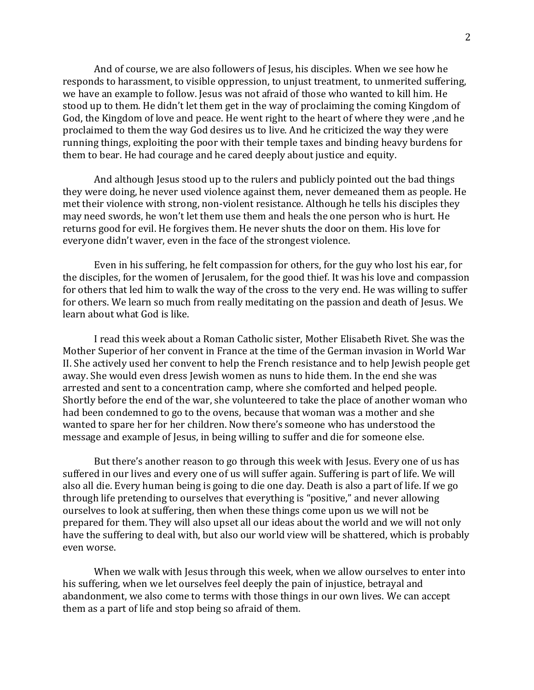And of course, we are also followers of Jesus, his disciples. When we see how he responds to harassment, to visible oppression, to unjust treatment, to unmerited suffering, we have an example to follow. Jesus was not afraid of those who wanted to kill him. He stood up to them. He didn't let them get in the way of proclaiming the coming Kingdom of God, the Kingdom of love and peace. He went right to the heart of where they were ,and he proclaimed to them the way God desires us to live. And he criticized the way they were running things, exploiting the poor with their temple taxes and binding heavy burdens for them to bear. He had courage and he cared deeply about justice and equity.

And although Jesus stood up to the rulers and publicly pointed out the bad things they were doing, he never used violence against them, never demeaned them as people. He met their violence with strong, non-violent resistance. Although he tells his disciples they may need swords, he won't let them use them and heals the one person who is hurt. He returns good for evil. He forgives them. He never shuts the door on them. His love for everyone didn't waver, even in the face of the strongest violence.

Even in his suffering, he felt compassion for others, for the guy who lost his ear, for the disciples, for the women of Jerusalem, for the good thief. It was his love and compassion for others that led him to walk the way of the cross to the very end. He was willing to suffer for others. We learn so much from really meditating on the passion and death of Jesus. We learn about what God is like.

I read this week about a Roman Catholic sister, Mother Elisabeth Rivet. She was the Mother Superior of her convent in France at the time of the German invasion in World War II. She actively used her convent to help the French resistance and to help Jewish people get away. She would even dress Jewish women as nuns to hide them. In the end she was arrested and sent to a concentration camp, where she comforted and helped people. Shortly before the end of the war, she volunteered to take the place of another woman who had been condemned to go to the ovens, because that woman was a mother and she wanted to spare her for her children. Now there's someone who has understood the message and example of Jesus, in being willing to suffer and die for someone else.

But there's another reason to go through this week with Jesus. Every one of us has suffered in our lives and every one of us will suffer again. Suffering is part of life. We will also all die. Every human being is going to die one day. Death is also a part of life. If we go through life pretending to ourselves that everything is "positive," and never allowing ourselves to look at suffering, then when these things come upon us we will not be prepared for them. They will also upset all our ideas about the world and we will not only have the suffering to deal with, but also our world view will be shattered, which is probably even worse.

When we walk with Jesus through this week, when we allow ourselves to enter into his suffering, when we let ourselves feel deeply the pain of injustice, betrayal and abandonment, we also come to terms with those things in our own lives. We can accept them as a part of life and stop being so afraid of them.